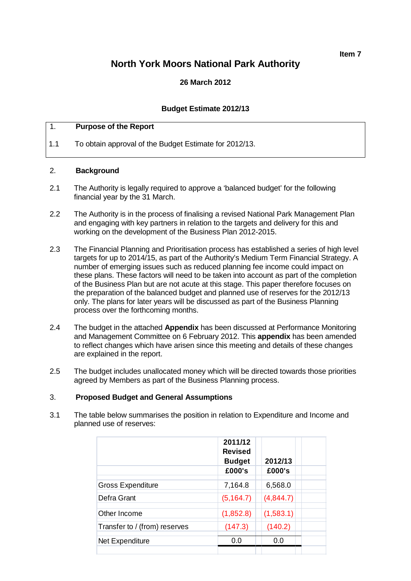**Item 7**

# **North York Moors National Park Authority**

## **26 March 2012**

#### **Budget Estimate 2012/13**

#### 1. **Purpose of the Report**

1.1 To obtain approval of the Budget Estimate for 2012/13.

#### 2. **Background**

- 2.1 The Authority is legally required to approve a 'balanced budget' for the following financial year by the 31 March.
- 2.2 The Authority is in the process of finalising a revised National Park Management Plan and engaging with key partners in relation to the targets and delivery for this and working on the development of the Business Plan 2012-2015.
- 2.3 The Financial Planning and Prioritisation process has established a series of high level targets for up to 2014/15, as part of the Authority's Medium Term Financial Strategy. A number of emerging issues such as reduced planning fee income could impact on these plans. These factors will need to be taken into account as part of the completion of the Business Plan but are not acute at this stage. This paper therefore focuses on the preparation of the balanced budget and planned use of reserves for the 2012/13 only. The plans for later years will be discussed as part of the Business Planning process over the forthcoming months.
- 2.4 The budget in the attached **Appendix** has been discussed at Performance Monitoring and Management Committee on 6 February 2012. This **appendix** has been amended to reflect changes which have arisen since this meeting and details of these changes are explained in the report.
- 2.5 The budget includes unallocated money which will be directed towards those priorities agreed by Members as part of the Business Planning process.

#### 3. **Proposed Budget and General Assumptions**

3.1 The table below summarises the position in relation to Expenditure and Income and planned use of reserves:

|                               | 2011/12<br><b>Revised</b><br><b>Budget</b> | 2012/13   |  |
|-------------------------------|--------------------------------------------|-----------|--|
|                               | £000's                                     | £000's    |  |
| <b>Gross Expenditure</b>      | 7,164.8                                    | 6,568.0   |  |
| Defra Grant                   | (5, 164.7)                                 | (4,844.7) |  |
| Other Income                  | (1,852.8)                                  | (1,583.1) |  |
| Transfer to / (from) reserves | (147.3)                                    | (140.2)   |  |
| Net Expenditure               | 0.0                                        | 0.0       |  |
|                               |                                            |           |  |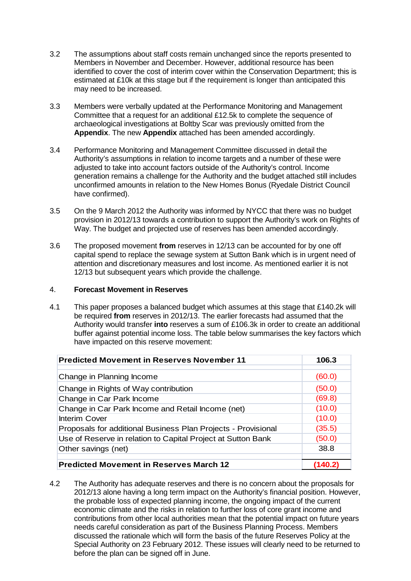- 3.2 The assumptions about staff costs remain unchanged since the reports presented to Members in November and December. However, additional resource has been identified to cover the cost of interim cover within the Conservation Department; this is estimated at £10k at this stage but if the requirement is longer than anticipated this may need to be increased.
- 3.3 Members were verbally updated at the Performance Monitoring and Management Committee that a request for an additional £12.5k to complete the sequence of archaeological investigations at Boltby Scar was previously omitted from the **Appendix**. The new **Appendix** attached has been amended accordingly.
- 3.4 Performance Monitoring and Management Committee discussed in detail the Authority's assumptions in relation to income targets and a number of these were adjusted to take into account factors outside of the Authority's control. Income generation remains a challenge for the Authority and the budget attached still includes unconfirmed amounts in relation to the New Homes Bonus (Ryedale District Council have confirmed).
- 3.5 On the 9 March 2012 the Authority was informed by NYCC that there was no budget provision in 2012/13 towards a contribution to support the Authority's work on Rights of Way. The budget and projected use of reserves has been amended accordingly.
- 3.6 The proposed movement **from** reserves in 12/13 can be accounted for by one off capital spend to replace the sewage system at Sutton Bank which is in urgent need of attention and discretionary measures and lost income. As mentioned earlier it is not 12/13 but subsequent years which provide the challenge.

#### 4. **Forecast Movement in Reserves**

4.1 This paper proposes a balanced budget which assumes at this stage that £140.2k will be required **from** reserves in 2012/13. The earlier forecasts had assumed that the Authority would transfer **into** reserves a sum of £106.3k in order to create an additional buffer against potential income loss. The table below summarises the key factors which have impacted on this reserve movement:

| <b>Predicted Movement in Reserves November 11</b>             | 106.3  |
|---------------------------------------------------------------|--------|
| Change in Planning Income                                     | (60.0) |
| Change in Rights of Way contribution                          | (50.0) |
| Change in Car Park Income                                     | (69.8) |
| Change in Car Park Income and Retail Income (net)             | (10.0) |
| <b>Interim Cover</b>                                          | (10.0) |
| Proposals for additional Business Plan Projects - Provisional | (35.5) |
| Use of Reserve in relation to Capital Project at Sutton Bank  | (50.0) |
| Other savings (net)                                           | 38.8   |
| <b>Predicted Movement in Reserves March 12</b>                |        |

4.2 The Authority has adequate reserves and there is no concern about the proposals for 2012/13 alone having a long term impact on the Authority's financial position. However, the probable loss of expected planning income, the ongoing impact of the current economic climate and the risks in relation to further loss of core grant income and contributions from other local authorities mean that the potential impact on future years needs careful consideration as part of the Business Planning Process. Members discussed the rationale which will form the basis of the future Reserves Policy at the Special Authority on 23 February 2012. These issues will clearly need to be returned to before the plan can be signed off in June.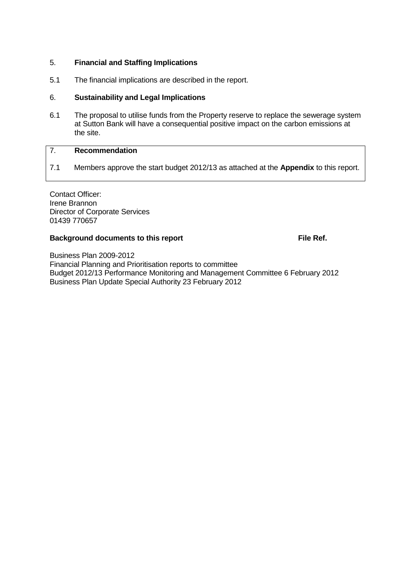## 5. **Financial and Staffing Implications**

5.1 The financial implications are described in the report.

## 6. **Sustainability and Legal Implications**

6.1 The proposal to utilise funds from the Property reserve to replace the sewerage system at Sutton Bank will have a consequential positive impact on the carbon emissions at the site.

## 7. **Recommendation**

7.1 Members approve the start budget 2012/13 as attached at the **Appendix** to this report.

Contact Officer: Irene Brannon Director of Corporate Services 01439 770657

## **Background documents to this report File Ref.**

Business Plan 2009-2012 Financial Planning and Prioritisation reports to committee Budget 2012/13 Performance Monitoring and Management Committee 6 February 2012 Business Plan Update Special Authority 23 February 2012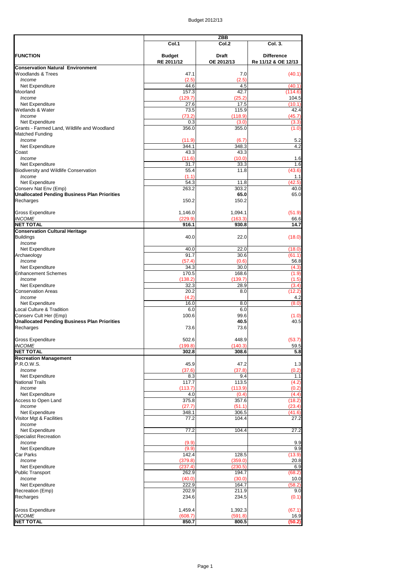|                                                     | <b>ZBB</b>                  |                            |                                          |
|-----------------------------------------------------|-----------------------------|----------------------------|------------------------------------------|
|                                                     | Col.1                       | Col.2                      | <b>Col. 3.</b>                           |
| <b>FUNCTION</b>                                     | <b>Budget</b><br>RE 2011/12 | <b>Draft</b><br>OE 2012/13 | <b>Difference</b><br>Re 11/12 & OE 12/13 |
| <b>Conservation Natural Environment</b>             |                             |                            |                                          |
| <b>Woodlands &amp; Trees</b>                        | 47.1                        | 7.0                        | (40.1)                                   |
| Income                                              | (2.5)                       | (2.5)                      |                                          |
| Net Expenditure                                     | 44.6                        | 4.5                        | (40.1)                                   |
| Moorland                                            | 157.3                       | 42.7                       | (114.6)                                  |
| Income                                              | (129.7)                     | (25.2)                     | 104.5                                    |
| Net Expenditure                                     | 27.6                        | 17.5                       | (10.1)                                   |
| Wetlands & Water                                    | 73.5                        | 115.9                      | 42.4                                     |
| Income                                              | (73.2)                      | (118.9)                    | (45.7)                                   |
| Net Expenditure                                     | 0.3                         | (3.0)                      | (3.3)                                    |
| Grants - Farmed Land, Wildlife and Woodland         | 356.0                       | 355.0                      | (1.0)                                    |
| <b>Matched Funding</b>                              |                             |                            |                                          |
| Income                                              | (11.9)                      | (6.7)                      | 5.2                                      |
| Net Expenditure                                     | 344.1                       | 348.3                      | 4.2                                      |
| Coast                                               | 43.3                        | 43.3                       |                                          |
| Income                                              | (11.6)                      | (10.0)                     | 1.6                                      |
| Net Expenditure                                     | $\overline{31.7}$           | 33.3                       | 1.6                                      |
| <b>Biodiversity and Wildlife Conservation</b>       | 55.4                        | 11.8                       | (43.6)                                   |
| Income                                              | (1.1)                       |                            | 1.1                                      |
| Net Expenditure                                     | 54.3                        | 11.8                       | (42.5)                                   |
| Conserv Nat Env (Emp)                               | 263.2                       | 303.2                      | 40.0                                     |
| <b>Unallocated Pending Business Plan Priorities</b> |                             | 65.0                       | 65.0                                     |
| Recharges                                           | 150.2                       | 150.2                      |                                          |
| <b>Gross Expenditure</b>                            | 1,146.0                     | 1,094.1                    | (51.9)                                   |
| <b>INCOME</b>                                       | (229.9)                     | (163.3)                    | 66.6                                     |
| <b>NET TOTAL</b>                                    | 916.1                       | 930.8                      | 14.7                                     |
| <b>Conservation Cultural Heritage</b>               |                             |                            |                                          |
| <b>Buildings</b><br>Income                          | 40.0                        | 22.0                       | (18.0)                                   |
| Net Expenditure                                     | 40.0                        | 22.0                       | (18.0)                                   |
| Archaeology                                         | 91.7                        | 30.6                       | (61.1)                                   |
| Income                                              | (57.4)                      | (0.6)                      | 56.8                                     |
| Net Expenditure                                     | 34.3                        | 30.0                       | (4.3)                                    |
| <b>Enhancement Schemes</b>                          | 170.5                       | 168.6                      | (1.9)                                    |
| Income                                              | (138.2)                     | (139.7)                    | (1.5)                                    |
| Net Expenditure                                     | 32.3                        | 28.9                       | (3.4)                                    |
| <b>Conservation Areas</b>                           | 20.2                        | 8.0                        | (12.2)                                   |
| Income                                              | (4.2)                       |                            | 4.2                                      |
| Net Expenditure                                     | 16.0                        | 8.0                        | (8.0)                                    |
| <b>Local Culture &amp; Tradition</b>                | 6.0                         | 6.0                        |                                          |
|                                                     |                             |                            |                                          |
| Conserv Cult Her (Emp)                              | 100.6                       | 99.6<br>40.5               | (1.0)                                    |
| <b>Unallocated Pending Business Plan Priorities</b> |                             |                            | 40.5                                     |
| Recharges                                           | 73.6                        | 73.6                       |                                          |
|                                                     |                             |                            |                                          |
| <b>Gross Expenditure</b>                            | 502.6                       | 448.9                      | (53.7)                                   |
| <b>INCOME</b>                                       | (199.8)                     | (140.3)                    | 59.5                                     |
| <b>NET TOTAL</b>                                    | 302.8                       | 308.6                      | 5.8                                      |
| <b>Recreation Management</b>                        |                             |                            |                                          |
| P.R.O.W.S.                                          | 45.9                        | 47.2                       | 1.3                                      |
| Income                                              | (37.6)                      | (37.8)                     | (0.2)                                    |
| Net Expenditure                                     | 8.3                         | 9.4                        | 1.1                                      |
| <b>National Trails</b>                              | 117.7                       | 113.5                      | (4.2)                                    |
| Income                                              | (113.7)                     | (113.9)                    | (0.2)                                    |
| Net Expenditure                                     | 4.0                         | (0.4)                      | (4.4)                                    |
| Access to Open Land                                 | 375.8                       | 357.6                      | (18.2)                                   |
| Income                                              | (27.7)                      | (51.1)                     | (23.4)                                   |
| Net Expenditure                                     | 348.1                       | 306.5                      | (41.6)                                   |
| Visitor Mgt & Facilities                            | 77.2                        | 104.4                      | 27.2                                     |
| Income                                              |                             |                            |                                          |
| Net Expenditure                                     | 77.2                        | 104.4                      | 27.2                                     |
| <b>Specialist Recreation</b>                        |                             |                            |                                          |

| Income                   | (9.9)   |         | 9.9    |
|--------------------------|---------|---------|--------|
| Net Expenditure          | (9.9)   |         | 9.9    |
| <b>Car Parks</b>         | 142.4   | 128.5   | (13.9) |
| Income                   | (379.8) | (359.0) | 20.8   |
| Net Expenditure          | (237.4) | (230.5) | 6.9    |
| <b>Public Transport</b>  | 262.9   | 194.7   | (68.2) |
| Income                   | (40.0)  | (30.0)  | 10.0   |
| Net Expenditure          | 222.9   | 164.7   | (58.2) |
| Recreation (Emp)         | 202.9   | 211.9   | 9.0    |
| Recharges                | 234.6   | 234.5   | (0.1)  |
| <b>Gross Expenditure</b> | 1,459.4 | 1,392.3 | (67.1) |
| <b>INCOME</b>            | (608.7) | (591.8) | 16.9   |
| <b>NET TOTAL</b>         | 850.7   | 800.5   | (50.2) |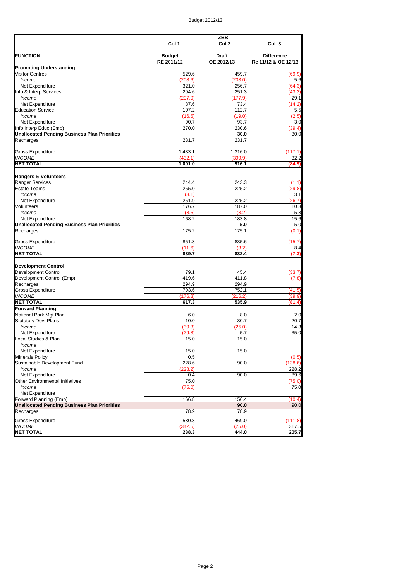|                                                     |               | <b>ZBB</b>   |                     |  |
|-----------------------------------------------------|---------------|--------------|---------------------|--|
|                                                     | Col.1         | Col.2        | Col. 3.             |  |
| <b>FUNCTION</b>                                     | <b>Budget</b> | <b>Draft</b> | <b>Difference</b>   |  |
|                                                     | RE 2011/12    | OE 2012/13   | Re 11/12 & OE 12/13 |  |
| <b>Promoting Understanding</b>                      |               |              |                     |  |
| <b>Visitor Centres</b>                              | 529.6         | 459.7        | (69.9)              |  |
| Income                                              | (208.6)       | (203.0)      | 5.6                 |  |
| Net Expenditure                                     | 321.0         | 256.7        | (64.3)              |  |
| Info & Interp Services                              | 294.6         | 251.3        | (43.3)              |  |
| Income                                              | (207.0)       | (177.9)      | 29.1                |  |
| Net Expenditure                                     | 87.6          | 73.4         | (14.2)              |  |
| <b>Education Service</b>                            | 107.2         | 112.7        | 5.5                 |  |
| Income                                              | (16.5)        | (19.0)       | (2.5)               |  |
| Net Expenditure                                     | 90.7          | 93.7         | 3.0                 |  |
| Info Interp Educ (Emp)                              | 270.0         | 230.6        | (39.4)              |  |
| <b>Unallocated Pending Business Plan Priorities</b> |               | 30.0         | 30.0                |  |
| Recharges                                           | 231.7         | 231.7        |                     |  |
|                                                     |               |              |                     |  |
| <b>Gross Expenditure</b>                            | 1,433.1       | 1,316.0      | (117.1)             |  |
| <b>INCOME</b>                                       | (432.1)       | (399.9)      | 32.2                |  |
| <b>NET TOTAL</b>                                    | 1,001.0       | 916.1        | (84.9)              |  |
|                                                     |               |              |                     |  |
| <b>Rangers &amp; Volunteers</b>                     |               |              |                     |  |
| <b>Ranger Services</b>                              | 244.4         | 243.3        | (1.1)               |  |
| <b>Estate Teams</b>                                 | 255.0         | 225.2        | (29.8)              |  |
| Income                                              | (3.1)         |              | 3.1                 |  |
| Net Expenditure                                     | 251.9         | 225.2        | (26.7)              |  |
| Volunteers                                          | 176.7         | 187.0        | 10.3                |  |
| Income                                              | (8.5)         | (3.2)        |                     |  |
|                                                     |               |              | 5.3                 |  |
| Net Expenditure                                     | 168.2         | 183.8        | 15.6                |  |
| <b>Unallocated Pending Business Plan Priorities</b> |               | 5.0          | 5.0                 |  |
| Recharges                                           | 175.2         | 175.1        | (0.1)               |  |
| <b>Gross Expenditure</b>                            | 851.3         | 835.6        | (15.7)              |  |
| <b>INCOME</b>                                       | (11.6)        | (3.2)        | 8.4                 |  |
| <b>NET TOTAL</b>                                    | 839.7         | 832.4        | (7.3)               |  |
|                                                     |               |              |                     |  |
| <b>Development Control</b>                          |               |              |                     |  |
| <b>Development Control</b>                          | 79.1          | 45.4         | (33.7)              |  |
| Development Control (Emp)                           | 419.6         | 411.8        | (7.8)               |  |
| Recharges                                           | 294.9         | 294.9        |                     |  |
| <b>Gross Expenditure</b>                            | 793.6         | 752.1        | (41.5)              |  |
| <b>INCOME</b>                                       | (176.3)       | (216.2)      |                     |  |
| <b>NET TOTAL</b>                                    | 617.3         | 535.9        | (39.9)<br>(81.4)    |  |
|                                                     |               |              |                     |  |
| <b>Forward Planning</b>                             |               |              |                     |  |
| National Park Mgt Plan                              | 6.0           | 8.0          | 2.0                 |  |
| <b>Statutory Devt Plans</b>                         | 10.0          | 30.7         | 20.7                |  |
| Income                                              | (39.3)        | (25.0)       | 14.3                |  |
| Net Expenditure                                     | (29.3)        | 5.7          | 35.0                |  |
| Local Studies & Plan                                | 15.0          | 15.0         |                     |  |
| Income                                              |               |              |                     |  |
| Net Expenditure                                     | 15.0          | 15.0         |                     |  |
| <b>Minerals Policy</b>                              | 0.5           |              | (0.5)               |  |
| Sustainable Development Fund                        | 228.6         | 90.0         | (138.6)             |  |
| Income                                              | (228.2)       |              | 228.2               |  |
| Net Expenditure                                     | 0.4           | 90.0         | 89.6                |  |
| Other Environmental Initiatives                     | 75.0          |              | (75.0)              |  |
| Income                                              | (75.0)        |              | 75.0                |  |
| Net Expenditure                                     |               |              |                     |  |
| Forward Planning (Emp)                              | 166.8         | 156.4        | (10.4)              |  |
| <b>Unallocated Pending Business Plan Priorities</b> |               | 90.0         | 90.0                |  |
| Recharges                                           | 78.9          | 78.9         |                     |  |
|                                                     |               |              |                     |  |
| <b>Gross Expenditure</b>                            | 580.8         | 469.0        | (111.8)             |  |
| <b>INCOME</b>                                       | (342.5)       | (25.0)       | 317.5               |  |
| <b>NET TOTAL</b>                                    | 238.3         | 444.0        | 205.7               |  |